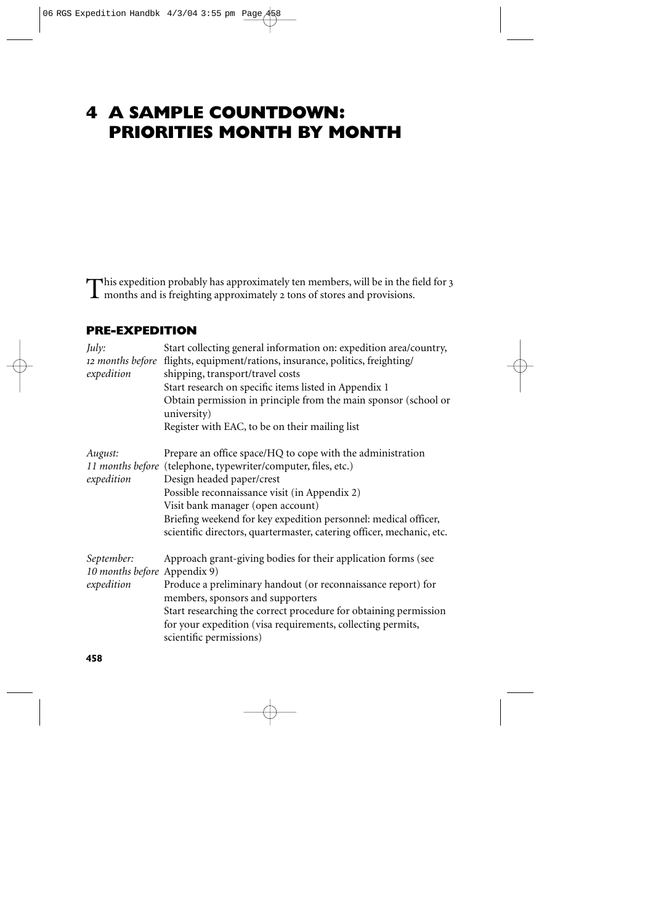# **4 A SAMPLE COUNTDOWN: PRIORITIES MONTH BY MONTH**

This expedition probably has approximately ten members, will be in the field for <sup>3</sup> months and is freighting approximately 2 tons of stores and provisions.

#### **PRE-EXPEDITION**

| July:<br>expedition                                      | Start collecting general information on: expedition area/country,<br>12 months before flights, equipment/rations, insurance, politics, freighting/<br>shipping, transport/travel costs<br>Start research on specific items listed in Appendix 1<br>Obtain permission in principle from the main sponsor (school or<br>university)<br>Register with EAC, to be on their mailing list         |
|----------------------------------------------------------|---------------------------------------------------------------------------------------------------------------------------------------------------------------------------------------------------------------------------------------------------------------------------------------------------------------------------------------------------------------------------------------------|
| August:<br>expedition                                    | Prepare an office space/HQ to cope with the administration<br>11 months before (telephone, typewriter/computer, files, etc.)<br>Design headed paper/crest<br>Possible reconnaissance visit (in Appendix 2)<br>Visit bank manager (open account)<br>Briefing weekend for key expedition personnel: medical officer,<br>scientific directors, quartermaster, catering officer, mechanic, etc. |
| September:<br>10 months before Appendix 9)<br>expedition | Approach grant-giving bodies for their application forms (see<br>Produce a preliminary handout (or reconnaissance report) for<br>members, sponsors and supporters<br>Start researching the correct procedure for obtaining permission<br>for your expedition (visa requirements, collecting permits,<br>scientific permissions)                                                             |

**458**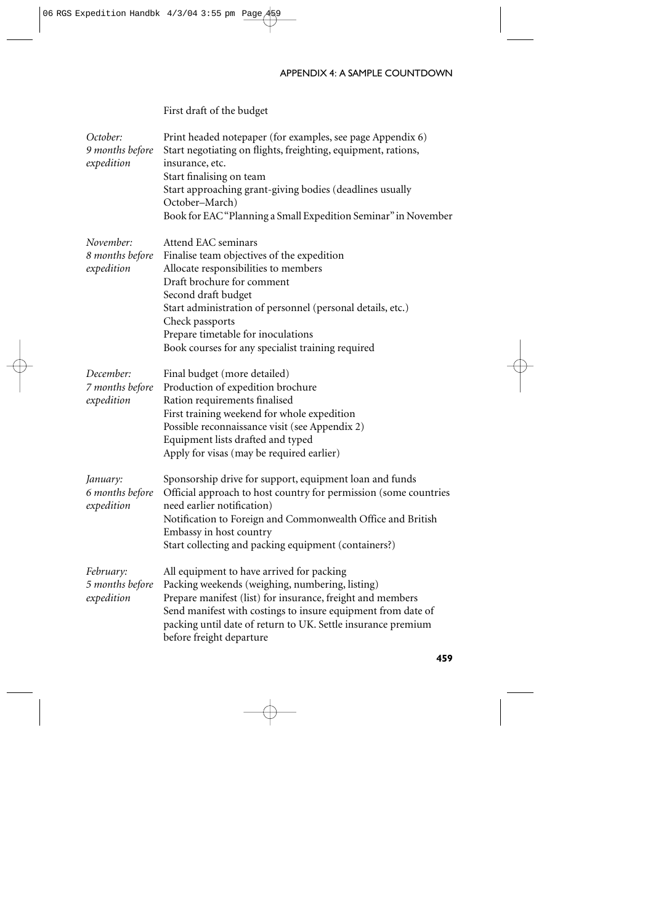#### APPENDIX 4: A SAMPLE COUNTDOWN

# First draft of the budget

| October:<br>9 months before<br>expedition  | Print headed notepaper (for examples, see page Appendix 6)<br>Start negotiating on flights, freighting, equipment, rations,<br>insurance, etc.<br>Start finalising on team<br>Start approaching grant-giving bodies (deadlines usually<br>October-March)<br>Book for EAC "Planning a Small Expedition Seminar" in November                 |
|--------------------------------------------|--------------------------------------------------------------------------------------------------------------------------------------------------------------------------------------------------------------------------------------------------------------------------------------------------------------------------------------------|
| November:<br>8 months before<br>expedition | Attend EAC seminars<br>Finalise team objectives of the expedition<br>Allocate responsibilities to members<br>Draft brochure for comment<br>Second draft budget<br>Start administration of personnel (personal details, etc.)<br>Check passports<br>Prepare timetable for inoculations<br>Book courses for any specialist training required |
| December:<br>7 months before<br>expedition | Final budget (more detailed)<br>Production of expedition brochure<br>Ration requirements finalised<br>First training weekend for whole expedition<br>Possible reconnaissance visit (see Appendix 2)<br>Equipment lists drafted and typed<br>Apply for visas (may be required earlier)                                                      |
| January:<br>6 months before<br>expedition  | Sponsorship drive for support, equipment loan and funds<br>Official approach to host country for permission (some countries<br>need earlier notification)<br>Notification to Foreign and Commonwealth Office and British<br>Embassy in host country<br>Start collecting and packing equipment (containers?)                                |
| February:<br>5 months before<br>expedition | All equipment to have arrived for packing<br>Packing weekends (weighing, numbering, listing)<br>Prepare manifest (list) for insurance, freight and members<br>Send manifest with costings to insure equipment from date of<br>packing until date of return to UK. Settle insurance premium<br>before freight departure                     |
|                                            | 459                                                                                                                                                                                                                                                                                                                                        |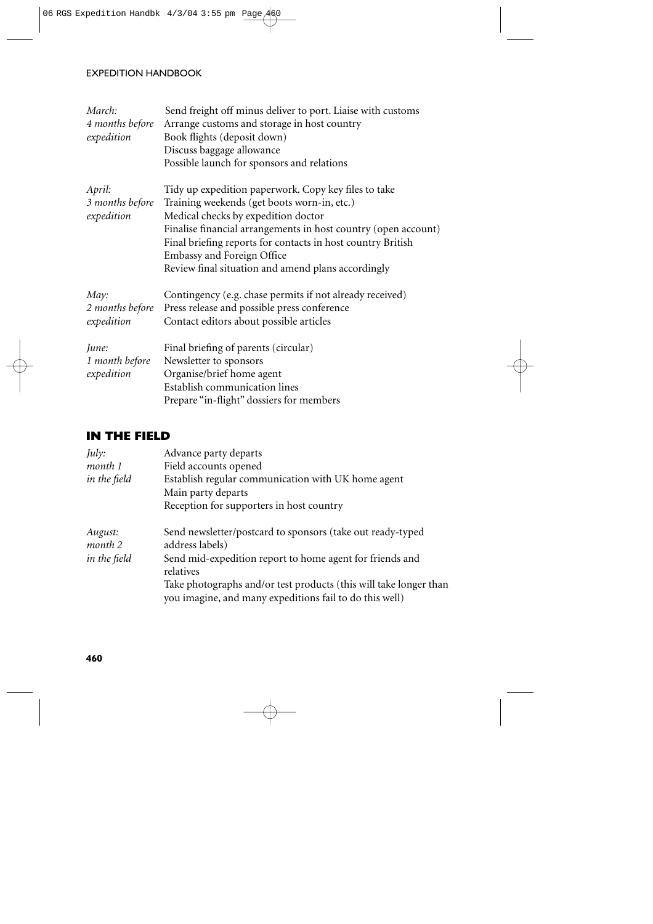#### EXPEDITION HANDBOOK

| March:<br>4 months before<br>expedition | Send freight off minus deliver to port. Liaise with customs<br>Arrange customs and storage in host country<br>Book flights (deposit down)<br>Discuss baggage allowance<br>Possible launch for sponsors and relations                                                                                                                                            |
|-----------------------------------------|-----------------------------------------------------------------------------------------------------------------------------------------------------------------------------------------------------------------------------------------------------------------------------------------------------------------------------------------------------------------|
| April:<br>3 months before<br>expedition | Tidy up expedition paperwork. Copy key files to take<br>Training weekends (get boots worn-in, etc.)<br>Medical checks by expedition doctor<br>Finalise financial arrangements in host country (open account)<br>Final briefing reports for contacts in host country British<br>Embassy and Foreign Office<br>Review final situation and amend plans accordingly |
| May:<br>2 months before<br>expedition   | Contingency (e.g. chase permits if not already received)<br>Press release and possible press conference<br>Contact editors about possible articles                                                                                                                                                                                                              |
| June:<br>1 month before<br>expedition   | Final briefing of parents (circular)<br>Newsletter to sponsors<br>Organise/brief home agent<br>Establish communication lines<br>Prepare "in-flight" dossiers for members                                                                                                                                                                                        |

## **IN THE FIELD**

| July:              | Advance party departs                                                                                                        |
|--------------------|------------------------------------------------------------------------------------------------------------------------------|
| month 1            | Field accounts opened                                                                                                        |
| in the field       | Establish regular communication with UK home agent                                                                           |
|                    | Main party departs                                                                                                           |
|                    | Reception for supporters in host country                                                                                     |
| August:<br>month 2 | Send newsletter/postcard to sponsors (take out ready-typed<br>address labels)                                                |
| in the field       | Send mid-expedition report to home agent for friends and<br>relatives                                                        |
|                    | Take photographs and/or test products (this will take longer than<br>you imagine, and many expeditions fail to do this well) |

**460**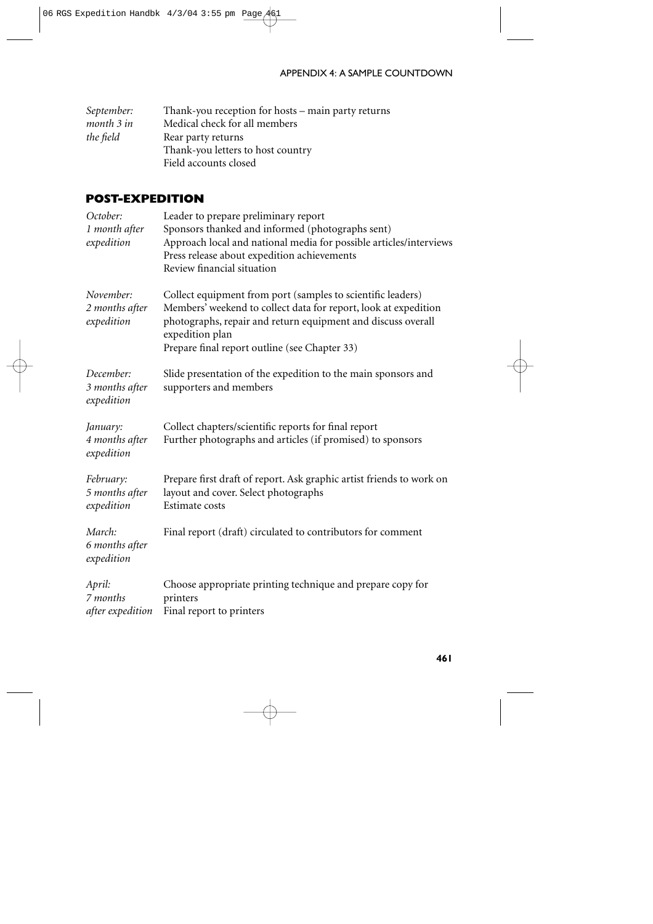#### APPENDIX 4: A SAMPLE COUNTDOWN

| September: | Thank-you reception for hosts – main party returns |
|------------|----------------------------------------------------|
| month 3 in | Medical check for all members                      |
| the field  | Rear party returns                                 |
|            | Thank-you letters to host country                  |
|            | Field accounts closed                              |

### **POST-EXPEDITION**

| October:<br>1 month after<br>expedition   | Leader to prepare preliminary report<br>Sponsors thanked and informed (photographs sent)<br>Approach local and national media for possible articles/interviews<br>Press release about expedition achievements<br>Review financial situation                        |
|-------------------------------------------|--------------------------------------------------------------------------------------------------------------------------------------------------------------------------------------------------------------------------------------------------------------------|
| November:<br>2 months after<br>expedition | Collect equipment from port (samples to scientific leaders)<br>Members' weekend to collect data for report, look at expedition<br>photographs, repair and return equipment and discuss overall<br>expedition plan<br>Prepare final report outline (see Chapter 33) |
| December:<br>3 months after<br>expedition | Slide presentation of the expedition to the main sponsors and<br>supporters and members                                                                                                                                                                            |
| January:<br>4 months after<br>expedition  | Collect chapters/scientific reports for final report<br>Further photographs and articles (if promised) to sponsors                                                                                                                                                 |
| February:<br>5 months after<br>expedition | Prepare first draft of report. Ask graphic artist friends to work on<br>layout and cover. Select photographs<br>Estimate costs                                                                                                                                     |
| March:<br>6 months after<br>expedition    | Final report (draft) circulated to contributors for comment                                                                                                                                                                                                        |
| April:<br>7 months<br>after expedition    | Choose appropriate printing technique and prepare copy for<br>printers<br>Final report to printers                                                                                                                                                                 |
|                                           |                                                                                                                                                                                                                                                                    |

**461**